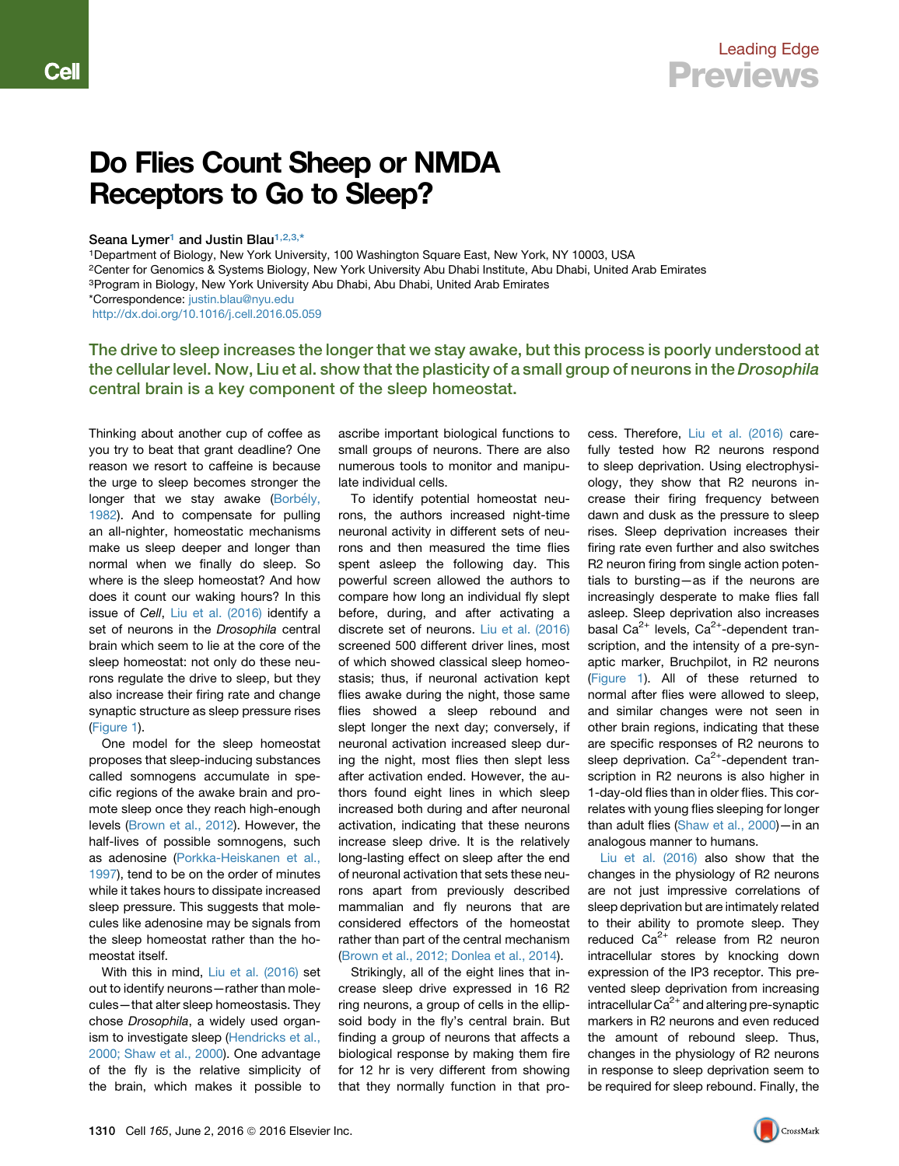Cel

## **Beceptors to Go to Sleep?** Receptors to Go to Sleep?

## Seana Lymer<sup>[1](#page-0-0)</sup> and Justin Blau<sup>[1,](#page-0-0)[2,](#page-0-1)[3,](#page-0-2)[\\*](#page-0-3)</sup>

<span id="page-0-0"></span>1Department of Biology, New York University, 100 Washington Square East, New York, NY 10003, USA

<span id="page-0-1"></span>2Center for Genomics & Systems Biology, New York University Abu Dhabi Institute, Abu Dhabi, United Arab Emirates

<span id="page-0-2"></span><sup>3</sup>Program in Biology, New York University Abu Dhabi, Abu Dhabi, United Arab Emirates

<http://dx.doi.org/10.1016/j.cell.2016.05.059>

The drive to sleep increases the longer that we stay awake, but this process is poorly understood at the cellular level. Now, Liu et al. show that the plasticity of a small group of neurons in the Drosophila central brain is a key component of the sleep homeostat.

Thinking about another cup of coffee as you try to beat that grant deadline? One reason we resort to caffeine is because the urge to sleep becomes stronger the longer that we stay awake (Borbély, [1982](#page-1-0)). And to compensate for pulling an all-nighter, homeostatic mechanisms make us sleep deeper and longer than normal when we finally do sleep. So where is the sleep homeostat? And how does it count our waking hours? In this issue of *Cell*, [Liu et al. \(2016\)](#page-1-1) identify a set of neurons in the *Drosophila* central brain which seem to lie at the core of the sleep homeostat: not only do these neurons regulate the drive to sleep, but they also increase their firing rate and change synaptic structure as sleep pressure rises ([Figure 1\)](#page-1-2).

One model for the sleep homeostat proposes that sleep-inducing substances called somnogens accumulate in specific regions of the awake brain and promote sleep once they reach high-enough levels [\(Brown et al., 2012\)](#page-1-3). However, the half-lives of possible somnogens, such as adenosine ([Porkka-Heiskanen et al.,](#page-1-4) [1997](#page-1-4)), tend to be on the order of minutes while it takes hours to dissipate increased sleep pressure. This suggests that molecules like adenosine may be signals from the sleep homeostat rather than the homeostat itself.

With this in mind, [Liu et al. \(2016\)](#page-1-1) set out to identify neurons—rather than molecules—that alter sleep homeostasis. They chose *Drosophila*, a widely used organ-ism to investigate sleep ([Hendricks et al.,](#page-1-5) [2000; Shaw et al., 2000\)](#page-1-5). One advantage of the fly is the relative simplicity of the brain, which makes it possible to ascribe important biological functions to small groups of neurons. There are also numerous tools to monitor and manipulate individual cells.

To identify potential homeostat neurons, the authors increased night-time neuronal activity in different sets of neurons and then measured the time flies spent asleep the following day. This powerful screen allowed the authors to compare how long an individual fly slept before, during, and after activating a discrete set of neurons. [Liu et al. \(2016\)](#page-1-1) screened 500 different driver lines, most of which showed classical sleep homeostasis; thus, if neuronal activation kept flies awake during the night, those same flies showed a sleep rebound and slept longer the next day; conversely, if neuronal activation increased sleep during the night, most flies then slept less after activation ended. However, the authors found eight lines in which sleep increased both during and after neuronal activation, indicating that these neurons increase sleep drive. It is the relatively long-lasting effect on sleep after the end of neuronal activation that sets these neurons apart from previously described mammalian and fly neurons that are considered effectors of the homeostat rather than part of the central mechanism [\(Brown et al., 2012; Donlea et al., 2014\)](#page-1-3).

Strikingly, all of the eight lines that increase sleep drive expressed in 16 R2 ring neurons, a group of cells in the ellipsoid body in the fly's central brain. But finding a group of neurons that affects a biological response by making them fire for 12 hr is very different from showing that they normally function in that process. Therefore, [Liu et al. \(2016\)](#page-1-1) carefully tested how R2 neurons respond to sleep deprivation. Using electrophysiology, they show that R2 neurons increase their firing frequency between dawn and dusk as the pressure to sleep rises. Sleep deprivation increases their firing rate even further and also switches R2 neuron firing from single action potentials to bursting—as if the neurons are increasingly desperate to make flies fall asleep. Sleep deprivation also increases basal Ca<sup>2+</sup> levels, Ca<sup>2+</sup>-dependent transcription, and the intensity of a pre-synaptic marker, Bruchpilot, in R2 neurons ([Figure 1](#page-1-2)). All of these returned to normal after flies were allowed to sleep, and similar changes were not seen in other brain regions, indicating that these are specific responses of R2 neurons to sleep deprivation.  $Ca^{2+}$ -dependent transcription in R2 neurons is also higher in 1-day-old flies than in older flies. This correlates with young flies sleeping for longer than adult flies ([Shaw et al., 2000\)](#page-1-6)—in an analogous manner to humans.

[Liu et al. \(2016\)](#page-1-1) also show that the changes in the physiology of R2 neurons are not just impressive correlations of sleep deprivation but are intimately related to their ability to promote sleep. They reduced  $Ca^{2+}$  release from R2 neuron intracellular stores by knocking down expression of the IP3 receptor. This prevented sleep deprivation from increasing intracellular  $Ca^{2+}$  and altering pre-synaptic markers in R2 neurons and even reduced the amount of rebound sleep. Thus, changes in the physiology of R2 neurons in response to sleep deprivation seem to be required for sleep rebound. Finally, the



<span id="page-0-3"></span><sup>\*</sup>Correspondence: [justin.blau@nyu.edu](mailto:justin.blau@nyu.edu)